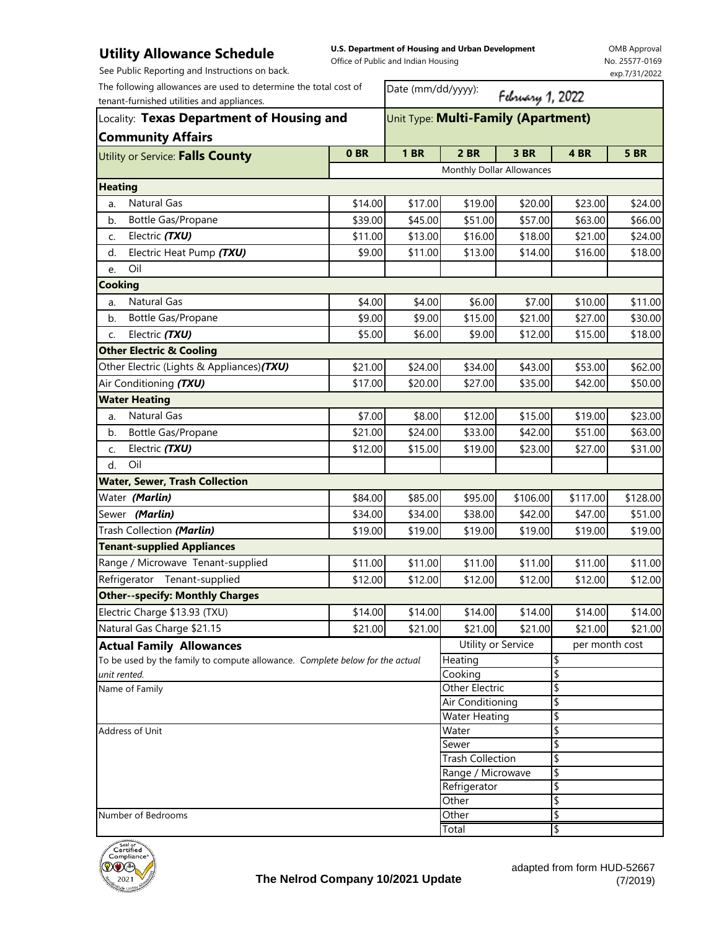## **Utility Allowance Schedule**

See Public Reporting and Instructions on back.

**U.S. Department of Housing and Urban Development**  Office of Public and Indian Housing

OMB Approval No. 25577-0169 exp.7/31/2022

| The following allowances are used to determine the total cost of<br>tenant-furnished utilities and appliances. |                 | Date (mm/dd/yyyy):<br>February 1, 2022 |                           |          |                |             |  |
|----------------------------------------------------------------------------------------------------------------|-----------------|----------------------------------------|---------------------------|----------|----------------|-------------|--|
| Locality: Texas Department of Housing and                                                                      |                 | Unit Type: Multi-Family (Apartment)    |                           |          |                |             |  |
| <b>Community Affairs</b>                                                                                       |                 |                                        |                           |          |                |             |  |
| Utility or Service: Falls County                                                                               | 0 <sub>BR</sub> | <b>1 BR</b>                            | 2 BR                      | 3 BR     | 4 BR           | <b>5 BR</b> |  |
|                                                                                                                |                 |                                        | Monthly Dollar Allowances |          |                |             |  |
| <b>Heating</b>                                                                                                 |                 |                                        |                           |          |                |             |  |
| Natural Gas<br>a.                                                                                              | \$14.00         | \$17.00                                | \$19.00                   | \$20.00  | \$23.00        | \$24.00     |  |
| Bottle Gas/Propane<br>b.                                                                                       | \$39.00         | \$45.00                                | \$51.00                   | \$57.00  | \$63.00        | \$66.00     |  |
| Electric (TXU)<br>C.                                                                                           | \$11.00         | \$13.00                                | \$16.00                   | \$18.00  | \$21.00        | \$24.00     |  |
| Electric Heat Pump (TXU)<br>d.                                                                                 | \$9.00          | \$11.00                                | \$13.00                   | \$14.00  | \$16.00        | \$18.00     |  |
| Oil<br>e.                                                                                                      |                 |                                        |                           |          |                |             |  |
| <b>Cooking</b>                                                                                                 |                 |                                        |                           |          |                |             |  |
| Natural Gas<br>a.                                                                                              | \$4.00          | \$4.00                                 | \$6.00                    | \$7.00   | \$10.00        | \$11.00     |  |
| Bottle Gas/Propane<br>b.                                                                                       | \$9.00          | \$9.00                                 | \$15.00                   | \$21.00  | \$27.00        | \$30.00     |  |
| Electric (TXU)<br>C.                                                                                           | \$5.00          | \$6.00                                 | \$9.00                    | \$12.00  | \$15.00        | \$18.00     |  |
| <b>Other Electric &amp; Cooling</b>                                                                            |                 |                                        |                           |          |                |             |  |
| Other Electric (Lights & Appliances)(TXU)                                                                      | \$21.00         | \$24.00                                | \$34.00                   | \$43.00  | \$53.00        | \$62.00     |  |
| Air Conditioning (TXU)                                                                                         | \$17.00         | \$20.00                                | \$27.00                   | \$35.00  | \$42.00        | \$50.00     |  |
| <b>Water Heating</b>                                                                                           |                 |                                        |                           |          |                |             |  |
| <b>Natural Gas</b><br>a.                                                                                       | \$7.00          | \$8.00                                 | \$12.00                   | \$15.00  | \$19.00        | \$23.00     |  |
| Bottle Gas/Propane<br>b.                                                                                       | \$21.00         | \$24.00                                | \$33.00                   | \$42.00  | \$51.00        | \$63.00     |  |
| Electric (TXU)<br>C.                                                                                           | \$12.00         | \$15.00                                | \$19.00                   | \$23.00  | \$27.00        | \$31.00     |  |
| Oil<br>d.                                                                                                      |                 |                                        |                           |          |                |             |  |
| <b>Water, Sewer, Trash Collection</b>                                                                          |                 |                                        |                           |          |                |             |  |
| Water (Marlin)                                                                                                 | \$84.00         | \$85.00                                | \$95.00                   | \$106.00 | \$117.00       | \$128.00    |  |
| Sewer (Marlin)                                                                                                 | \$34.00         | \$34.00                                | \$38.00                   | \$42.00  | \$47.00        | \$51.00     |  |
| Trash Collection (Marlin)                                                                                      | \$19.00         | \$19.00                                | \$19.00                   | \$19.00  | \$19.00        | \$19.00     |  |
| <b>Tenant-supplied Appliances</b>                                                                              |                 |                                        |                           |          |                |             |  |
| Range / Microwave Tenant-supplied                                                                              | \$11.00         | \$11.00                                | \$11.00                   | \$11.00  | \$11.00        | \$11.00     |  |
| Refrigerator Tenant-supplied                                                                                   | \$12.00         | \$12.00                                | \$12.00                   | \$12.00  | \$12.00        | \$12.00     |  |
| <b>Other--specify: Monthly Charges</b>                                                                         |                 |                                        |                           |          |                |             |  |
| Electric Charge \$13.93 (TXU)                                                                                  | \$14.00         | \$14.00                                | \$14.00                   | \$14.00  | \$14.00        | \$14.00     |  |
| Natural Gas Charge \$21.15                                                                                     | \$21.00         | \$21.00                                | \$21.00                   | \$21.00  | \$21.00        | \$21.00     |  |
| <b>Actual Family Allowances</b>                                                                                |                 |                                        | Utility or Service        |          | per month cost |             |  |
| To be used by the family to compute allowance. Complete below for the actual                                   | Heating         |                                        | \$                        |          |                |             |  |
| unit rented.                                                                                                   |                 |                                        | Cooking                   |          | \$             |             |  |
| Name of Family                                                                                                 |                 |                                        | Other Electric            |          | \$             |             |  |
|                                                                                                                |                 |                                        | Air Conditioning          |          | \$             |             |  |
| Address of Unit                                                                                                |                 |                                        | Water Heating             |          | \$             |             |  |
|                                                                                                                |                 |                                        | Water<br>Sewer            |          | \$<br>\$       |             |  |
|                                                                                                                |                 |                                        | <b>Trash Collection</b>   |          | \$             |             |  |
|                                                                                                                |                 |                                        | Range / Microwave         |          | \$             |             |  |
|                                                                                                                |                 | Refrigerator                           |                           | \$       |                |             |  |
|                                                                                                                |                 |                                        | Other                     |          | \$             |             |  |
| Number of Bedrooms                                                                                             |                 |                                        | Other                     |          | \$             |             |  |
|                                                                                                                |                 |                                        | Total                     |          | \$             |             |  |